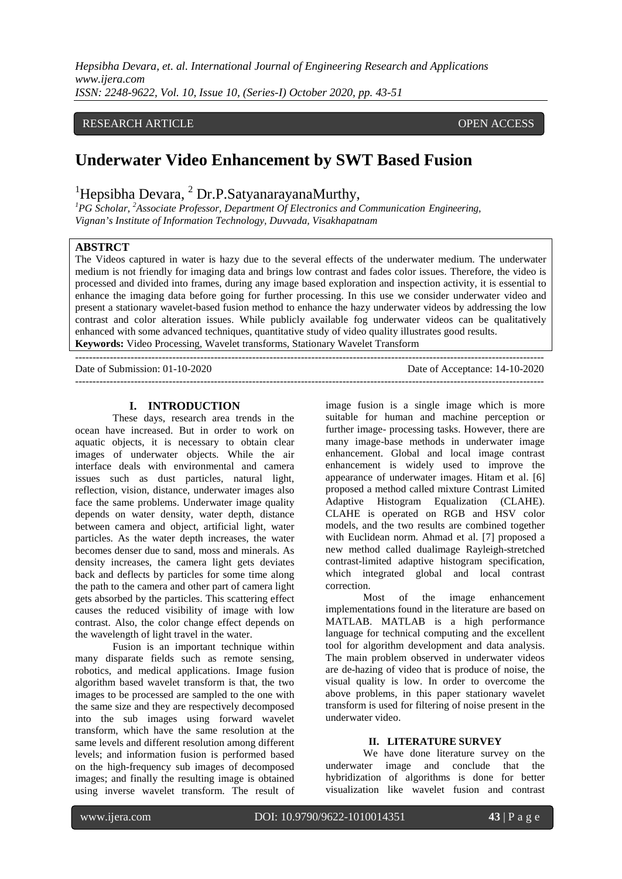## RESEARCH ARTICLE **CONSERVERS** OPEN ACCESS

## **Underwater Video Enhancement by SWT Based Fusion**

# <sup>1</sup>Hepsibha Devara, <sup>2</sup> Dr.P.SatyanarayanaMurthy,

*PG Scholar, <sup>2</sup> Associate Professor, Department Of Electronics and Communication Engineering, Vignan's Institute of Information Technology, Duvvada, Visakhapatnam*

## **ABSTRCT**

The Videos captured in water is hazy due to the several effects of the underwater medium. The underwater medium is not friendly for imaging data and brings low contrast and fades color issues. Therefore, the video is processed and divided into frames, during any image based exploration and inspection activity, it is essential to enhance the imaging data before going for further processing. In this use we consider underwater video and present a stationary wavelet-based fusion method to enhance the hazy underwater videos by addressing the low contrast and color alteration issues. While publicly available fog underwater videos can be qualitatively enhanced with some advanced techniques, quantitative study of video quality illustrates good results. **Keywords:** Video Processing, Wavelet transforms, Stationary Wavelet Transform

--------------------------------------------------------------------------------------------------------------------------------------- Date of Submission: 01-10-2020 Date of Acceptance: 14-10-2020 ---------------------------------------------------------------------------------------------------------------------------------------

#### **I. INTRODUCTION**

These days, research area trends in the ocean have increased. But in order to work on aquatic objects, it is necessary to obtain clear images of underwater objects. While the air interface deals with environmental and camera issues such as dust particles, natural light, reflection, vision, distance, underwater images also face the same problems. Underwater image quality depends on water density, water depth, distance between camera and object, artificial light, water particles. As the water depth increases, the water becomes denser due to sand, moss and minerals. As density increases, the camera light gets deviates back and deflects by particles for some time along the path to the camera and other part of camera light gets absorbed by the particles. This scattering effect causes the reduced visibility of image with low contrast. Also, the color change effect depends on the wavelength of light travel in the water.

Fusion is an important technique within many disparate fields such as remote sensing, robotics, and medical applications. Image fusion algorithm based wavelet transform is that, the two images to be processed are sampled to the one with the same size and they are respectively decomposed into the sub images using forward wavelet transform, which have the same resolution at the same levels and different resolution among different levels; and information fusion is performed based on the high-frequency sub images of decomposed images; and finally the resulting image is obtained using inverse wavelet transform. The result of

image fusion is a single image which is more suitable for human and machine perception or further image- processing tasks. However, there are many image-base methods in underwater image enhancement. Global and local image contrast enhancement is widely used to improve the appearance of underwater images. Hitam et al. [6] proposed a method called mixture Contrast Limited Adaptive Histogram Equalization (CLAHE). CLAHE is operated on RGB and HSV color models, and the two results are combined together with Euclidean norm. Ahmad et al. [7] proposed a new method called dualimage Rayleigh-stretched contrast-limited adaptive histogram specification, which integrated global and local contrast correction.

Most of the image enhancement implementations found in the literature are based on MATLAB. MATLAB is a high performance language for technical computing and the excellent tool for algorithm development and data analysis. The main problem observed in underwater videos are de-hazing of video that is produce of noise, the visual quality is low. In order to overcome the above problems, in this paper stationary wavelet transform is used for filtering of noise present in the underwater video.

#### **II. LITERATURE SURVEY**

We have done literature survey on the underwater image and conclude that the hybridization of algorithms is done for better visualization like wavelet fusion and contrast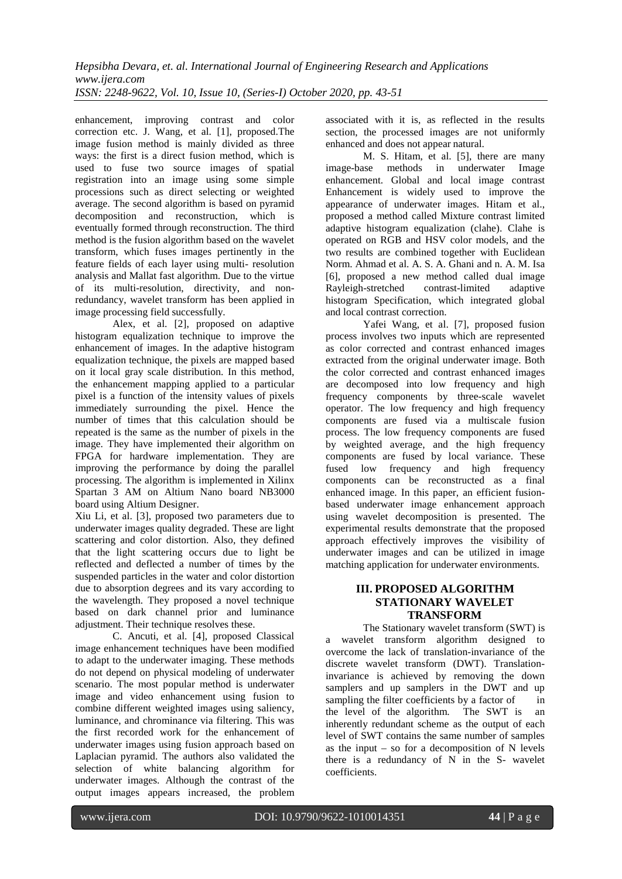enhancement, improving contrast and color correction etc. J. Wang, et al. [1], proposed.The image fusion method is mainly divided as three ways: the first is a direct fusion method, which is used to fuse two source images of spatial registration into an image using some simple processions such as direct selecting or weighted average. The second algorithm is based on pyramid decomposition and reconstruction, which is eventually formed through reconstruction. The third method is the fusion algorithm based on the wavelet transform, which fuses images pertinently in the feature fields of each layer using multi- resolution analysis and Mallat fast algorithm. Due to the virtue of its multi-resolution, directivity, and nonredundancy, wavelet transform has been applied in image processing field successfully.

Alex, et al. [2], proposed on adaptive histogram equalization technique to improve the enhancement of images. In the adaptive histogram equalization technique, the pixels are mapped based on it local gray scale distribution. In this method, the enhancement mapping applied to a particular pixel is a function of the intensity values of pixels immediately surrounding the pixel. Hence the number of times that this calculation should be repeated is the same as the number of pixels in the image. They have implemented their algorithm on FPGA for hardware implementation. They are improving the performance by doing the parallel processing. The algorithm is implemented in Xilinx Spartan 3 AM on Altium Nano board NB3000 board using Altium Designer.

Xiu Li, et al. [3], proposed two parameters due to underwater images quality degraded. These are light scattering and color distortion. Also, they defined that the light scattering occurs due to light be reflected and deflected a number of times by the suspended particles in the water and color distortion due to absorption degrees and its vary according to the wavelength. They proposed a novel technique based on dark channel prior and luminance adjustment. Their technique resolves these.

C. Ancuti, et al. [4], proposed Classical image enhancement techniques have been modified to adapt to the underwater imaging. These methods do not depend on physical modeling of underwater scenario. The most popular method is underwater image and video enhancement using fusion to combine different weighted images using saliency, luminance, and chrominance via filtering. This was the first recorded work for the enhancement of underwater images using fusion approach based on Laplacian pyramid. The authors also validated the selection of white balancing algorithm for underwater images. Although the contrast of the output images appears increased, the problem

associated with it is, as reflected in the results section, the processed images are not uniformly enhanced and does not appear natural.

M. S. Hitam, et al. [5], there are many<br>image-base methods in underwater Image methods in underwater Image enhancement. Global and local image contrast Enhancement is widely used to improve the appearance of underwater images. Hitam et al., proposed a method called Mixture contrast limited adaptive histogram equalization (clahe). Clahe is operated on RGB and HSV color models, and the two results are combined together with Euclidean Norm. Ahmad et al. A. S. A. Ghani and n. A. M. Isa [6], proposed a new method called dual image Rayleigh-stretched contrast-limited adaptive histogram Specification, which integrated global and local contrast correction.

Yafei Wang, et al. [7], proposed fusion process involves two inputs which are represented as color corrected and contrast enhanced images extracted from the original underwater image. Both the color corrected and contrast enhanced images are decomposed into low frequency and high frequency components by three-scale wavelet operator. The low frequency and high frequency components are fused via a multiscale fusion process. The low frequency components are fused by weighted average, and the high frequency components are fused by local variance. These fused low frequency and high frequency components can be reconstructed as a final enhanced image. In this paper, an efficient fusionbased underwater image enhancement approach using wavelet decomposition is presented. The experimental results demonstrate that the proposed approach effectively improves the visibility of underwater images and can be utilized in image matching application for underwater environments.

## **III. PROPOSED ALGORITHM STATIONARY WAVELET TRANSFORM**

The Stationary wavelet transform (SWT) is a [wavelet transform a](https://en.wikipedia.org/wiki/Wavelet_transform)lgorithm designed to overcome the lack of translation-invariance of the [discrete wavelet transform \(](https://en.wikipedia.org/wiki/Discrete_wavelet_transform)DWT). Translationinvariance is achieved by removing the down samplers and up samplers in the DWT and up sampling the filter coefficients by a factor of in the level of the algorithm. The SWT is an inherently redundant scheme as the output of each level of SWT contains the same number of samples as the input – so for a decomposition of N levels there is a redundancy of  $N$  in the S- wavelet coefficients.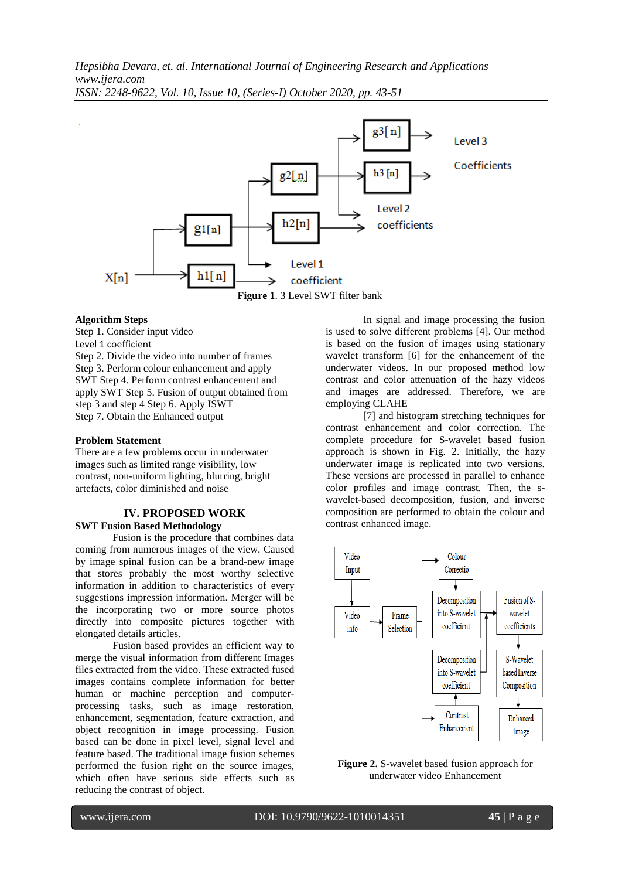

## **Algorithm Steps**

Step 1. Consider input video Level 1 coefficient Step 2. Divide the video into number of frames Step 3. Perform colour enhancement and apply SWT Step 4. Perform contrast enhancement and apply SWT Step 5. Fusion of output obtained from step 3 and step 4 Step 6. Apply ISWT Step 7. Obtain the Enhanced output

#### **Problem Statement**

There are a few problems occur in underwater images such as limited range visibility, low contrast, non-uniform lighting, blurring, bright artefacts, color diminished and noise

#### **IV. PROPOSED WORK SWT Fusion Based Methodology**

Fusion is the procedure that combines data coming from numerous images of the view. Caused by image spinal fusion can be a brand-new image that stores probably the most worthy selective information in addition to characteristics of every suggestions impression information. Merger will be the incorporating two or more source photos directly into composite pictures together with elongated details articles.

Fusion based provides an efficient way to merge the visual information from different Images files extracted from the video. These extracted fused images contains complete information for better human or machine perception and computerprocessing tasks, such as image restoration, enhancement, segmentation, feature extraction, and object recognition in image processing. Fusion based can be done in pixel level, signal level and feature based. The traditional image fusion schemes performed the fusion right on the source images, which often have serious side effects such as reducing the contrast of object.

In signal and image processing the fusion is used to solve different problems [4]. Our method is based on the fusion of images using stationary wavelet transform [6] for the enhancement of the underwater videos. In our proposed method low contrast and color attenuation of the hazy videos and images are addressed. Therefore, we are employing CLAHE

[7] and histogram stretching techniques for contrast enhancement and color correction. The complete procedure for S-wavelet based fusion approach is shown in Fig. 2. Initially, the hazy underwater image is replicated into two versions. These versions are processed in parallel to enhance color profiles and image contrast. Then, the swavelet-based decomposition, fusion, and inverse composition are performed to obtain the colour and contrast enhanced image.



**Figure 2.** S-wavelet based fusion approach for underwater video Enhancement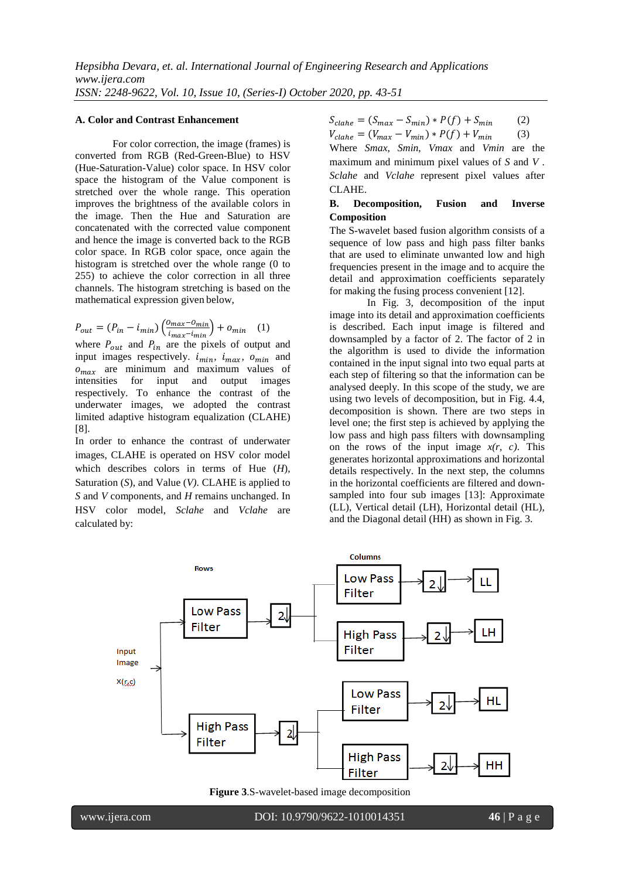#### **A. Color and Contrast Enhancement**

For color correction, the image (frames) is converted from RGB (Red-Green-Blue) to HSV (Hue-Saturation-Value) color space. In HSV color space the histogram of the Value component is stretched over the whole range. This operation improves the brightness of the available colors in the image. Then the Hue and Saturation are concatenated with the corrected value component and hence the image is converted back to the RGB color space. In RGB color space, once again the histogram is stretched over the whole range (0 to 255) to achieve the color correction in all three channels. The histogram stretching is based on the mathematical expression given below,

$$
P_{out} = (P_{in} - i_{min}) \left( \frac{0_{max} - 0_{min}}{i_{max} - i_{min}} \right) + o_{min} \quad (1)
$$

where  $P_{out}$  and  $P_{in}$  are the pixels of output and input images respectively.  $i_{min}$ ,  $i_{max}$ ,  $o_{min}$  and  $o_{max}$  are minimum and maximum values of intensities for input and output images for input and respectively. To enhance the contrast of the underwater images, we adopted the contrast limited adaptive histogram equalization (CLAHE) [8].

In order to enhance the contrast of underwater images, CLAHE is operated on HSV color model which describes colors in terms of Hue (*H*), Saturation (*S*), and Value (*V)*. CLAHE is applied to *S* and *V* components, and *H* remains unchanged. In HSV color model, *Sclahe* and *Vclahe* are calculated by:

 $S_{clahe} = (S_{max} - S_{min}) * P(f) + S_{min}$  (2)

$$
V_{clahe} = (V_{max} - V_{min}) * P(f) + V_{min}
$$
 (3)

Where *Smax*, *Smin*, *Vmax* and *Vmin* are the maximum and minimum pixel values of *S* and *V* . *Sclahe* and *Vclahe* represent pixel values after CLAHE.

#### **B. Decomposition, Fusion and Inverse Composition**

The S-wavelet based fusion algorithm consists of a sequence of low pass and high pass filter banks that are used to eliminate unwanted low and high frequencies present in the image and to acquire the detail and approximation coefficients separately for making the fusing process convenient [12].

In Fig. 3, decomposition of the input image into its detail and approximation coefficients is described. Each input image is filtered and downsampled by a factor of 2. The factor of 2 in the algorithm is used to divide the information contained in the input signal into two equal parts at each step of filtering so that the information can be analysed deeply. In this scope of the study, we are using two levels of decomposition, but in Fig. 4.4, decomposition is shown. There are two steps in level one; the first step is achieved by applying the low pass and high pass filters with downsampling on the rows of the input image *x(r, c)*. This generates horizontal approximations and horizontal details respectively. In the next step, the columns in the horizontal coefficients are filtered and downsampled into four sub images [13]: Approximate (LL), Vertical detail (LH), Horizontal detail (HL), and the Diagonal detail (HH) as shown in Fig. 3.



**Figure 3**.S-wavelet-based image decomposition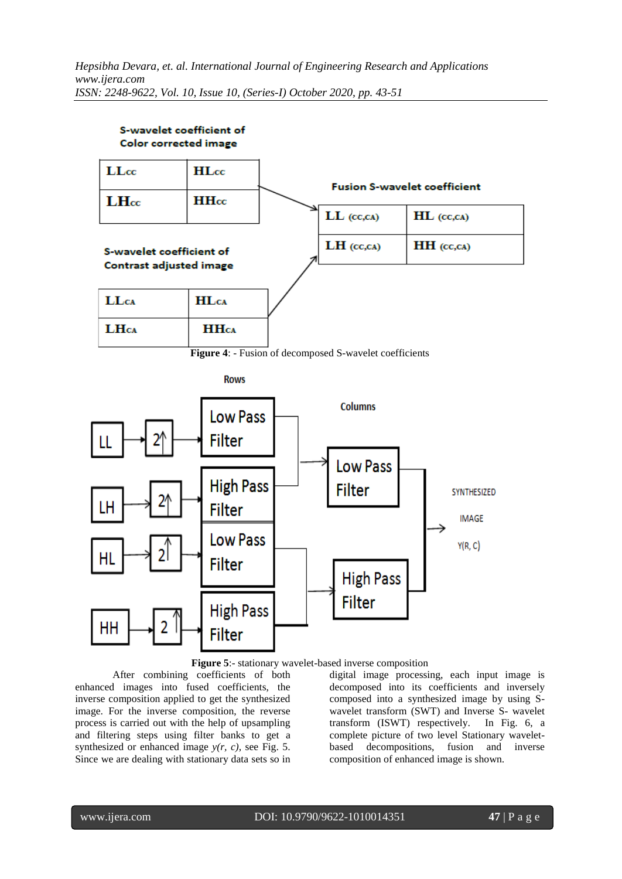



After combining coefficients of both enhanced images into fused coefficients, the inverse composition applied to get the synthesized image. For the inverse composition, the reverse process is carried out with the help of upsampling and filtering steps using filter banks to get a synthesized or enhanced image *y(r, c)*, see Fig. 5. Since we are dealing with stationary data sets so in digital image processing, each input image is decomposed into its coefficients and inversely composed into a synthesized image by using Swavelet transform (SWT) and Inverse S- wavelet transform (ISWT) respectively. In Fig. 6, a complete picture of two level Stationary waveletbased decompositions, fusion and inverse composition of enhanced image is shown.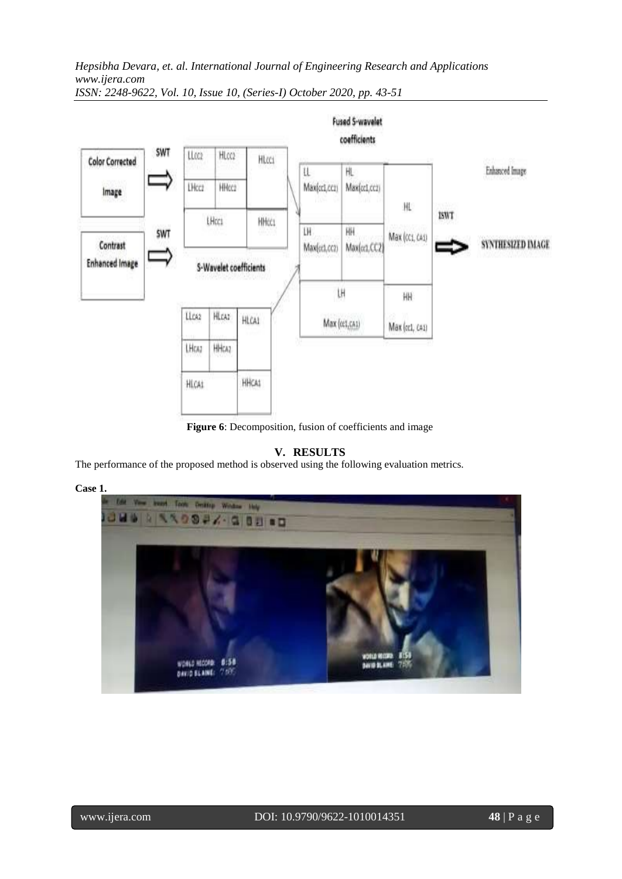

*ISSN: 2248-9622, Vol. 10, Issue 10, (Series-I) October 2020, pp. 43-51*

**Figure 6**: Decomposition, fusion of coefficients and image

## **V. RESULTS**

The performance of the proposed method is observed using the following evaluation metrics.

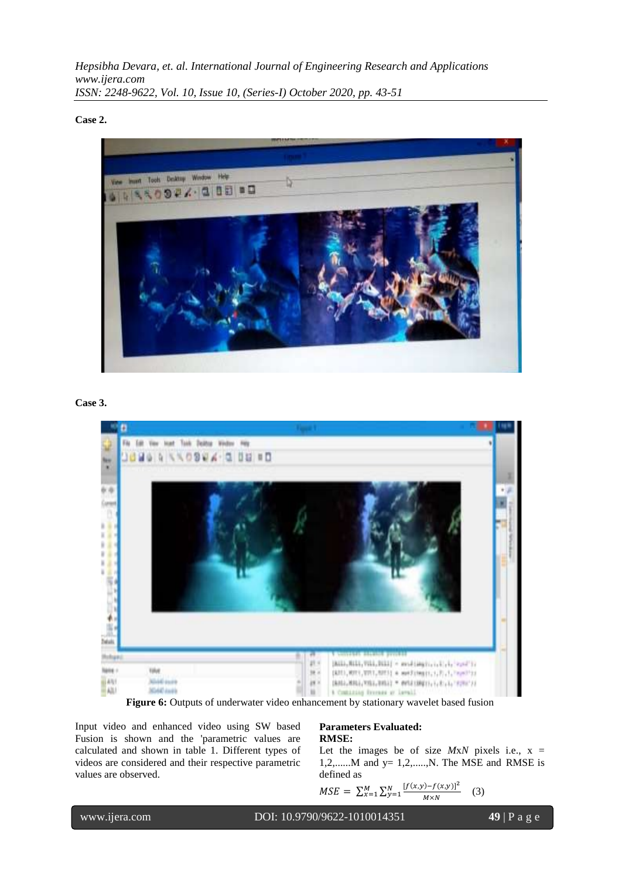**Case 2.**



#### **Case 3.**



Figure 6: Outputs of underwater video enhancement by stationary wavelet based fusion

Input video and enhanced video using SW based Fusion is shown and the 'parametric values are calculated and shown in table 1. Different types of videos are considered and their respective parametric values are observed.

#### **Parameters Evaluated: RMSE:**

Let the images be of size  $MxN$  pixels i.e.,  $x =$ 1,2,...... $M$  and  $y = 1,2,...,N$ . The MSE and RMSE is defined as

$$
MSE = \sum_{x=1}^{M} \sum_{y=1}^{N} \frac{[f(x,y) - f(x,y)]^2}{M \times N}
$$
 (3)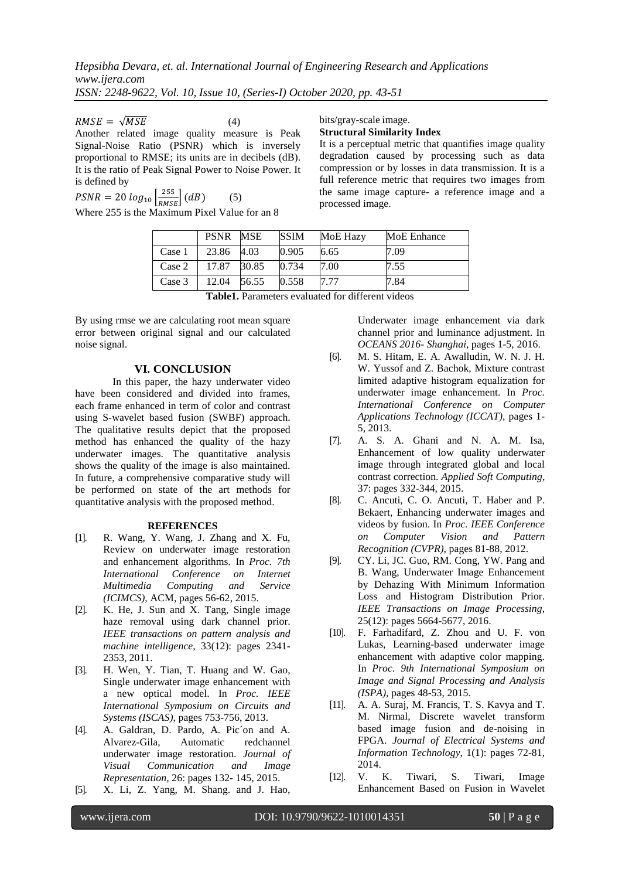$RMSE = \sqrt{MSE}$  (4)

Another related image quality measure is Peak Signal-Noise Ratio (PSNR) which is inversely proportional to RMSE; its units are in decibels (dB). It is the ratio of Peak Signal Power to Noise Power. It is defined by

 $PSNR = 20 \log_{10} \left[ \frac{255}{RMSE} \right] (dB)$  (5)

Where 255 is the Maximum Pixel Value for an 8

bits/gray-scale image.

#### **Structural Similarity Index**

It is a perceptual metric that quantifies image quality degradation caused by processing such as data compression or by losses in data transmission. It is a full reference metric that requires two images from the same image capture- a reference image and a processed image.

|                                                 | <b>PSNR</b> | <b>MSE</b> | <b>SSIM</b> | MoE Hazy | MoE Enhance |
|-------------------------------------------------|-------------|------------|-------------|----------|-------------|
| Case 1                                          | 23.86       | 4.03       | 0.905       | 6.65     | 7.09        |
| Case 2                                          | 17.87       | 30.85      | 0.734       | 7.00     | 7.55        |
| Case 3                                          | 12.04       | 56.55      | 0.558       | 7.77     | 7.84        |
| $\cdots$<br>------<br>$\sim$ $\sim$ $\sim$<br>. |             |            |             |          |             |

| Table1. Parameters evaluated for different videos |
|---------------------------------------------------|
|---------------------------------------------------|

By using rmse we are calculating root mean square error between original signal and our calculated noise signal.

### **VI. CONCLUSION**

In this paper, the hazy underwater video have been considered and divided into frames, each frame enhanced in term of color and contrast using S-wavelet based fusion (SWBF) approach. The qualitative results depict that the proposed method has enhanced the quality of the hazy underwater images. The quantitative analysis shows the quality of the image is also maintained. In future, a comprehensive comparative study will be performed on state of the art methods for quantitative analysis with the proposed method.

#### **REFERENCES**

- [1]. R. Wang, Y. Wang, J. Zhang and X. Fu, Review on underwater image restoration and enhancement algorithms. In *Proc. 7th International Conference on Internet Multimedia Computing and Service (ICIMCS)*, ACM, pages 56-62, 2015.
- [2]. K. He, J. Sun and X. Tang, Single image haze removal using dark channel prior. *IEEE transactions on pattern analysis and machine intelligence*, 33(12): pages 2341- 2353, 2011.
- [3]. H. Wen, Y. Tian, T. Huang and W. Gao, Single underwater image enhancement with a new optical model. In *Proc. IEEE International Symposium on Circuits and Systems (ISCAS)*, pages 753-756, 2013.
- [4]. A. Galdran, D. Pardo, A. Pic´on and A. Alvarez-Gila, Automatic redchannel underwater image restoration. *Journal of Visual Communication and Image Representation*, 26: pages 132- 145, 2015.
- [5]. X. Li, Z. Yang, M. Shang. and J. Hao,

Underwater image enhancement via dark channel prior and luminance adjustment. In *OCEANS 2016- Shanghai*, pages 1-5, 2016.

- [6]. M. S. Hitam, E. A. Awalludin, W. N. J. H. W. Yussof and Z. Bachok, Mixture contrast limited adaptive histogram equalization for underwater image enhancement. In *Proc. International Conference on Computer Applications Technology (ICCAT)*, pages 1- 5, 2013.
- [7]. A. S. A. Ghani and N. A. M. Isa, Enhancement of low quality underwater image through integrated global and local contrast correction. *Applied Soft Computing*, 37: pages 332-344, 2015.
- [8]. C. Ancuti, C. O. Ancuti, T. Haber and P. Bekaert, Enhancing underwater images and videos by fusion. In *Proc. IEEE Conference on Computer Vision and Pattern Recognition (CVPR)*, pages 81-88, 2012.
- [9]. CY. Li, JC. Guo, RM. Cong, YW. Pang and B. Wang, Underwater Image Enhancement by Dehazing With Minimum Information Loss and Histogram Distribution Prior. *IEEE Transactions on Image Processing*, 25(12): pages 5664-5677, 2016.
- [10]. F. Farhadifard, Z. Zhou and U. F. von Lukas, Learning-based underwater image enhancement with adaptive color mapping. In *Proc. 9th International Symposium on Image and Signal Processing and Analysis (ISPA)*, pages 48-53, 2015.
- [11]. A. A. Suraj, M. Francis, T. S. Kavya and T. M. Nirmal, Discrete wavelet transform based image fusion and de-noising in FPGA. *Journal of Electrical Systems and Information Technology*, 1(1): pages 72-81, 2014.
- [12]. V. K. Tiwari, S. Tiwari, Image Enhancement Based on Fusion in Wavelet